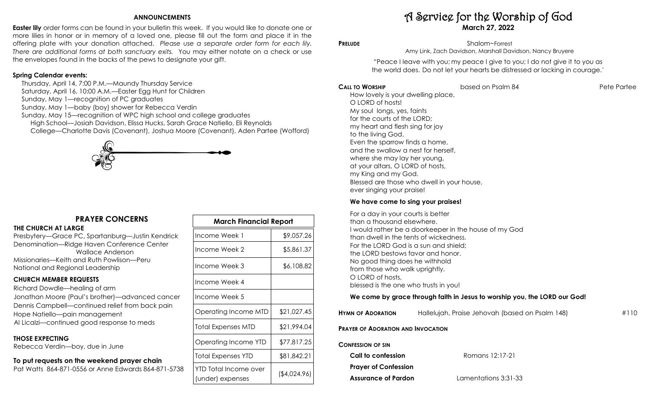## **ANNOUNCEMENTS**

**Easter lily** order forms can be found in your bulletin this week. If you would like to donate one or more lilies in honor or in memory of a loved one, please fill out the form and place it in the offering plate with your donation attached. *Please use a separate order form for each lily. There are additional forms at both sanctuary exits.* You may either notate on a check or use the envelopes found in the backs of the pews to designate your gift.

## **Spring Calendar events:**

 Thursday, April 14, 7:00 P.M.—Maundy Thursday Service Saturday, April 16, 10:00 A.M.—Easter Egg Hunt for Children Sunday, May 1—recognition of PC graduates Sunday, May 1—baby (boy) shower for Rebecca Verdin Sunday, May 15—recognition of WPC high school and college graduates High School—Josiah Davidson, Elissa Hucks, Sarah Grace Natiello, Eli Reynolds College—Charlotte Davis (Covenant), Joshua Moore (Covenant), Aden Partee (Wofford)



# **PRAYER CONCERNS**

### **THE CHURCH AT LARGE**

Presbytery—Grace PC, Spartanburg—Justin Kendrick Denomination—Ridge Haven Conference Center Wallace Anderson Missionaries—Keith and Ruth Powlison—Peru National and Regional Leadership

# **CHURCH MEMBER REQUESTS**

Richard Dowdle—healing of arm Jonathan Moore (Paul's brother)—advanced cancer Dennis Campbell—continued relief from back pain Hope Natiello—pain management Al Licalzi—continued good response to meds

# **THOSE EXPECTING**

Rebecca Verdin—boy, due in June

# **To put requests on the weekend prayer chain**

Pat Watts 864-871-0556 or Anne Edwards 864-871-5738

| <b>March Financial Report</b>             |              |  |
|-------------------------------------------|--------------|--|
| Income Week 1                             | \$9,057.26   |  |
| Income Week 2                             | \$5,861.37   |  |
| Income Week 3                             | \$6,108.82   |  |
| Income Week 4                             |              |  |
| Income Week 5                             |              |  |
| Operating Income MTD                      | \$21,027.45  |  |
| Total Expenses MTD                        | \$21,994.04  |  |
| Operating Income YTD                      | \$77,817.25  |  |
| Total Expenses YTD                        | \$81,842.21  |  |
| YTD Total Income over<br>(under) expenses | (\$4,024.96) |  |

# A Service for the Worship of God **March 27, 2022**

**PRELUDE** Shalom~Forrest Amy Link, Zach Davidson, Marshall Davidson, Nancy Bruyere

> "Peace I leave with you; my peace I give to you; I do not give it to you as the world does. Do not let your hearts be distressed or lacking in courage."

### **CALL TO WORSHIP** based on Psalm 84 Pete Partee

How lovely is your dwelling place, O LORD of hosts! My soul longs, yes, faints for the courts of the LORD; my heart and flesh sing for joy to the living God. Even the sparrow finds a home, and the swallow a nest for herself, where she may lay her young, at your altars, O LORD of hosts, my King and my God. Blessed are those who dwell in your house, ever singing your praise!

## **We have come to sing your praises!**

For a day in your courts is better than a thousand elsewhere. I would rather be a doorkeeper in the house of my God than dwell in the tents of wickedness. For the LORD God is a sun and shield; the LORD bestows favor and honor. No good thing does he withhold from those who walk uprightly. O LORD of hosts, blessed is the one who trusts in you!

# **We come by grace through faith in Jesus to worship you, the LORD our God!**

| <b>HYMN OF ADORATION</b>                  | Hallelujah, Praise Jehovah (based on Psalm 148) | #110 |
|-------------------------------------------|-------------------------------------------------|------|
| <b>PRAYER OF ADORATION AND INVOCATION</b> |                                                 |      |
| <b>CONFESSION OF SIN</b>                  |                                                 |      |
| Call to confession                        | Romans 12:17-21                                 |      |
| <b>Prayer of Confession</b>               |                                                 |      |

**Assurance of Pardon** Lamentations 3:31-33